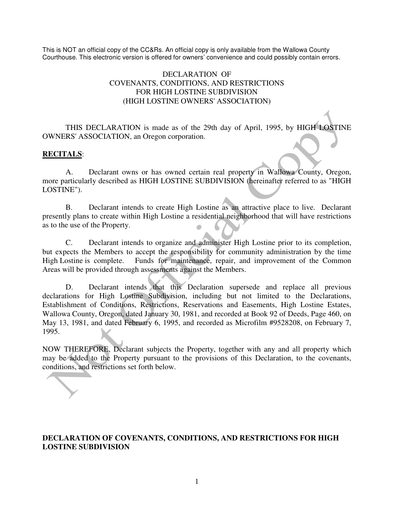This is NOT an official copy of the CC&Rs. An official copy is only available from the Wallowa County Courthouse. This electronic version is offered for owners' convenience and could possibly contain errors.

#### DECLARATION OF COVENANTS, CONDITIONS, AND RESTRICTIONS FOR HIGH LOSTINE SUBDIVISION (HIGH LOSTINE OWNERS' ASSOCIATION)

THIS DECLARATION is made as of the 29th day of April, 1995, by HIGH LOSTINE OWNERS' ASSOCIATION, an Oregon corporation.

#### **RECITALS**:

 A. Declarant owns or has owned certain real property in Wallowa County, Oregon, more particularly described as HIGH LOSTINE SUBDIVISION (hereinafter referred to as "HIGH LOSTINE").

 B. Declarant intends to create High Lostine as an attractive place to live. Declarant presently plans to create within High Lostine a residential neighborhood that will have restrictions as to the use of the Property.

 C. Declarant intends to organize and administer High Lostine prior to its completion, but expects the Members to accept the responsibility for community administration by the time High Lostine is complete. Funds for maintenance, repair, and improvement of the Common Areas will be provided through assessments against the Members.

D. Declarant intends that this Declaration supersede and replace all previous declarations for High Lostine Subdivision, including but not limited to the Declarations, Establishment of Conditions, Restrictions, Reservations and Easements, High Lostine Estates, Wallowa County, Oregon, dated January 30, 1981, and recorded at Book 92 of Deeds, Page 460, on May 13, 1981, and dated February 6, 1995, and recorded as Microfilm #9528208, on February 7, 1995.

NOW THEREFORE, Declarant subjects the Property, together with any and all property which may be added to the Property pursuant to the provisions of this Declaration, to the covenants, conditions, and restrictions set forth below.

#### **DECLARATION OF COVENANTS, CONDITIONS, AND RESTRICTIONS FOR HIGH LOSTINE SUBDIVISION**

~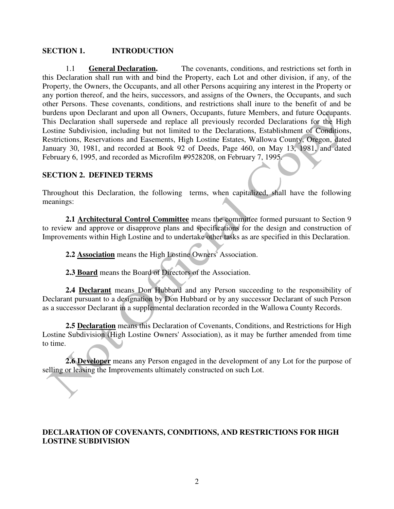#### **SECTION 1. INTRODUCTION**

1.1 **General Declaration.** The covenants, conditions, and restrictions set forth in this Declaration shall run with and bind the Property, each Lot and other division, if any, of the Property, the Owners, the Occupants, and all other Persons acquiring any interest in the Property or any portion thereof, and the heirs, successors, and assigns of the Owners, the Occupants, and such other Persons. These covenants, conditions, and restrictions shall inure to the benefit of and be burdens upon Declarant and upon all Owners, Occupants, future Members, and future Occupants. This Declaration shall supersede and replace all previously recorded Declarations for the High Lostine Subdivision, including but not limited to the Declarations, Establishment of Conditions, Restrictions, Reservations and Easements, High Lostine Estates, Wallowa County, Oregon, dated January 30, 1981, and recorded at Book 92 of Deeds, Page 460, on May 13, 1981, and dated February 6, 1995, and recorded as Microfilm #9528208, on February 7, 1995.

#### **SECTION 2. DEFINED TERMS**

Throughout this Declaration, the following terms, when capitalized, shall have the following meanings:

**2.1 Architectural Control Committee** means the committee formed pursuant to Section 9 to review and approve or disapprove plans and specifications for the design and construction of Improvements within High Lostine and to undertake other tasks as are specified in this Declaration.

**2.2 Association** means the High Lostine Owners' Association.

**2.3 Board** means the Board of Directors of the Association.

**2.4 Declarant** means Don Hubbard and any Person succeeding to the responsibility of Declarant pursuant to a designation by Don Hubbard or by any successor Declarant of such Person as a successor Declarant in a supplemental declaration recorded in the Wallowa County Records.

**2.5 Declaration** means this Declaration of Covenants, Conditions, and Restrictions for High Lostine Subdivision (High Lostine Owners' Association), as it may be further amended from time to time.

**2.6 Developer** means any Person engaged in the development of any Lot for the purpose of selling or leasing the Improvements ultimately constructed on such Lot.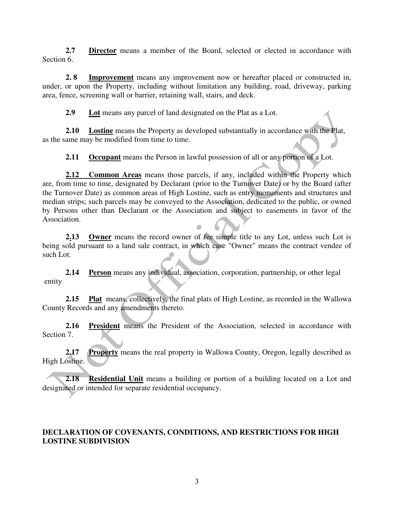**2.7 Director** means a member of the Board, selected or elected in accordance with Section 6.

**2. 8 Improvement** means any improvement now or hereafter placed or constructed in, under, or upon the Property, including without limitation any building, road, driveway, parking area, fence, screening wall or barrier, retaining wall, stairs, and deck.

**2.9 Lot** means any parcel of land designated on the Plat as a Lot.

**2.10 Lostine** means the Property as developed substantially in accordance with the Plat, as the same may be modified from time to time.

**2.11 Occupant** means the Person in lawful possession of all or any portion of a Lot.

**2.12 Common Areas** means those parcels, if any, included within the Property which are, from time to time, designated by Declarant (prior to the Turnover Date) or by the Board (after the Turnover Date) as common areas of High Lostine, such as entry monuments and structures and median strips; such parcels may be conveyed to the Association, dedicated to the public, or owned by Persons other than Declarant or the Association and subject to easements in favor of the Association.

**2.13 Owner** means the record owner of fee simple title to any Lot, unless such Lot is being sold pursuant to a land sale contract, in which case "Owner" means the contract vendee of such Lot.

**2.14 Person** means any individual, association, corporation, partnership, or other legal entity

**2.15 Plat** means, collectively, the final plats of High Lostine, as recorded in the Wallowa County Records and any amendments thereto.

**2.16 President** means the President of the Association, selected in accordance with Section 7.

**2.17 Property** means the real property in Wallowa County, Oregon, legally described as High Lostine.

**2.18 Residential Unit** means a building or portion of a building located on a Lot and designated or intended for separate residential occupancy.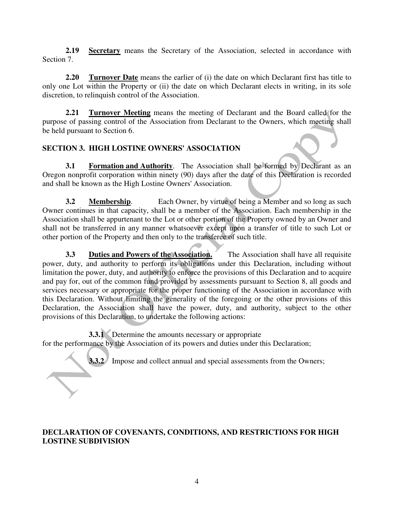**2.19 Secretary** means the Secretary of the Association, selected in accordance with Section 7.

**2.20 Turnover Date** means the earlier of (i) the date on which Declarant first has title to only one Lot within the Property or (ii) the date on which Declarant elects in writing, in its sole discretion, to relinquish control of the Association.

**2.21 Turnover Meeting** means the meeting of Declarant and the Board called for the purpose of passing control of the Association from Declarant to the Owners, which meeting shall be held pursuant to Section 6.

# **SECTION 3. HIGH LOSTINE OWNERS' ASSOCIATION**

**3.1 Formation and Authority**. The Association shall be formed by Declarant as an Oregon nonprofit corporation within ninety (90) days after the date of this Declaration is recorded and shall be known as the High Lostine Owners' Association.

**3.2 Membership**. Each Owner, by virtue of being a Member and so long as such Owner continues in that capacity, shall be a member of the Association. Each membership in the Association shall be appurtenant to the Lot or other portion of the Property owned by an Owner and shall not be transferred in any manner whatsoever except upon a transfer of title to such Lot or other portion of the Property and then only to the transferee of such title.

**3.3 Duties and Powers of the Association.** The Association shall have all requisite power, duty, and authority to perform its obligations under this Declaration, including without limitation the power, duty, and authority to enforce the provisions of this Declaration and to acquire and pay for, out of the common fund provided by assessments pursuant to Section 8, all goods and services necessary or appropriate for the proper functioning of the Association in accordance with this Declaration. Without limiting the generality of the foregoing or the other provisions of this Declaration, the Association shall have the power, duty, and authority, subject to the other provisions of this Declaration, to undertake the following actions:

**3.3.1** Determine the amounts necessary or appropriate for the performance by the Association of its powers and duties under this Declaration;

**3.3.2** Impose and collect annual and special assessments from the Owners;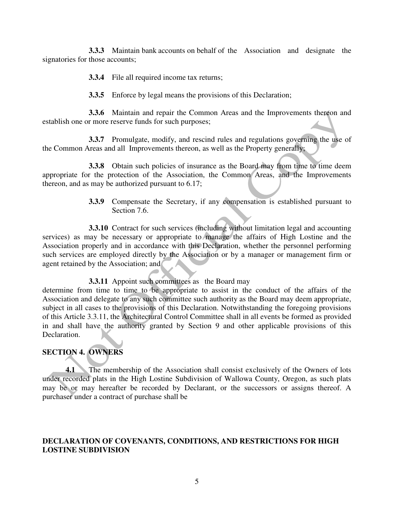**3.3.3** Maintain bank accounts on behalf of the Association and designate the signatories for those accounts;

**3.3.4** File all required income tax returns;

**3.3.5** Enforce by legal means the provisions of this Declaration;

 **3.3.6** Maintain and repair the Common Areas and the Improvements thereon and establish one or more reserve funds for such purposes;

**3.3.7** Promulgate, modify, and rescind rules and regulations governing the use of the Common Areas and all Improvements thereon, as well as the Property generally;

**3.3.8** Obtain such policies of insurance as the Board may from time to time deem appropriate for the protection of the Association, the Common Areas, and the Improvements thereon, and as may be authorized pursuant to 6.17;

> **3.3.9** Compensate the Secretary, if any compensation is established pursuant to Section 7.6.

**3.3.10** Contract for such services (including without limitation legal and accounting services) as may be necessary or appropriate to manage the affairs of High Lostine and the Association properly and in accordance with this Declaration, whether the personnel performing such services are employed directly by the Association or by a manager or management firm or agent retained by the Association; and

#### **3.3.11** Appoint such committees as the Board may

determine from time to time to be appropriate to assist in the conduct of the affairs of the Association and delegate to any such committee such authority as the Board may deem appropriate, subject in all cases to the provisions of this Declaration. Notwithstanding the foregoing provisions of this Article 3.3.11, the Architectural Control Committee shall in all events be formed as provided in and shall have the authority granted by Section 9 and other applicable provisions of this Declaration.

#### **SECTION 4. OWNERS**

**4.1** The membership of the Association shall consist exclusively of the Owners of lots under recorded plats in the High Lostine Subdivision of Wallowa County, Oregon, as such plats may be or may hereafter be recorded by Declarant, or the successors or assigns thereof. A purchaser under a contract of purchase shall be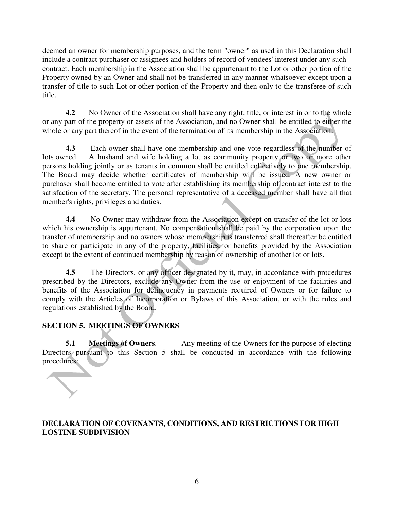deemed an owner for membership purposes, and the term "owner" as used in this Declaration shall include a contract purchaser or assignees and holders of record of vendees' interest under any such contract. Each membership in the Association shall be appurtenant to the Lot or other portion of the Property owned by an Owner and shall not be transferred in any manner whatsoever except upon a transfer of title to such Lot or other portion of the Property and then only to the transferee of such title.

**4.2** No Owner of the Association shall have any right, title, or interest in or to the whole or any part of the property or assets of the Association, and no Owner shall be entitled to either the whole or any part thereof in the event of the termination of its membership in the Association.

**4.3** Each owner shall have one membership and one vote regardless of the number of lots owned. A husband and wife holding a lot as community property or two or more other persons holding jointly or as tenants in common shall be entitled collectively to one membership. The Board may decide whether certificates of membership will be issued. A new owner or purchaser shall become entitled to vote after establishing its membership of contract interest to the satisfaction of the secretary. The personal representative of a deceased member shall have all that member's rights, privileges and duties.

**4.4** No Owner may withdraw from the Association except on transfer of the lot or lots which his ownership is appurtenant. No compensation shall be paid by the corporation upon the transfer of membership and no owners whose membership is transferred shall thereafter be entitled to share or participate in any of the property, facilities, or benefits provided by the Association except to the extent of continued membership by reason of ownership of another lot or lots.

**4.5** The Directors, or any officer designated by it, may, in accordance with procedures prescribed by the Directors, exclude any Owner from the use or enjoyment of the facilities and benefits of the Association for delinquency in payments required of Owners or for failure to comply with the Articles of Incorporation or Bylaws of this Association, or with the rules and regulations established by the Board.

# **SECTION 5. MEETINGS OF OWNERS**

**5.1 Meetings of Owners.** Any meeting of the Owners for the purpose of electing Directors pursuant to this Section 5 shall be conducted in accordance with the following procedures: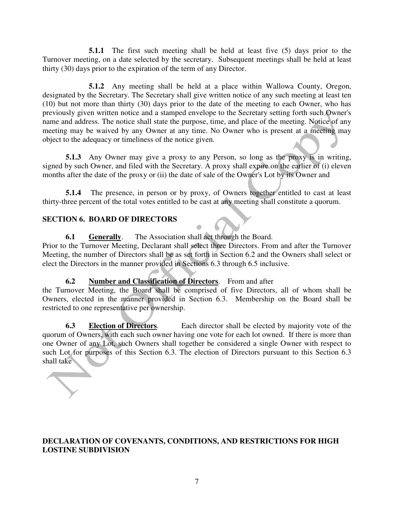**5.1.1** The first such meeting shall be held at least five (5) days prior to the Turnover meeting, on a date selected by the secretary. Subsequent meetings shall be held at least thirty (30) days prior to the expiration of the term of any Director.

 **5.1.2** Any meeting shall be held at a place within Wallowa County, Oregon, designated by the Secretary. The Secretary shall give written notice of any such meeting at least ten (10) but not more than thirty (30) days prior to the date of the meeting to each Owner, who has previously given written notice and a stamped envelope to the Secretary setting forth such Owner's name and address. The notice shall state the purpose, time, and place of the meeting. Notice of any meeting may be waived by any Owner at any time. No Owner who is present at a meeting may object to the adequacy or timeliness of the notice given.

**5.1.3** Any Owner may give a proxy to any Person, so long as the proxy is in writing, signed by such Owner, and filed with the Secretary. A proxy shall expire on the earlier of (i) eleven months after the date of the proxy or (ii) the date of sale of the Owner's Lot by its Owner and

**5.1.4** The presence, in person or by proxy, of Owners together entitled to cast at least thirty-three percent of the total votes entitled to be cast at any meeting shall constitute a quorum.

# **SECTION 6. BOARD OF DIRECTORS**

**6.1 Generally**. The Association shall act through the Board.

Prior to the Turnover Meeting, Declarant shall select three Directors. From and after the Turnover Meeting, the number of Directors shall be as set forth in Section 6.2 and the Owners shall select or elect the Directors in the manner provided in Sections 6.3 through 6.5 inclusive.

# **6.2 Number and Classification of Directors**. From and after

the Turnover Meeting, the Board shall be comprised of five Directors, all of whom shall be Owners, elected in the manner provided in Section 6.3. Membership on the Board shall be restricted to one representative per ownership.

**6.3 Election of Directors**. Each director shall be elected by majority vote of the quorum of Owners, with each such owner having one vote for each lot owned. If there is more than one Owner of any Lot, such Owners shall together be considered a single Owner with respect to such Lot for purposes of this Section 6.3. The election of Directors pursuant to this Section 6.3 shall take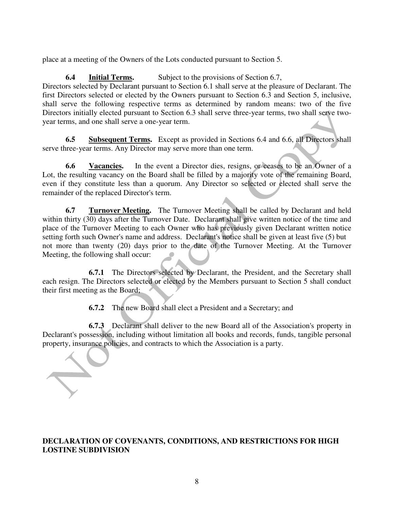place at a meeting of the Owners of the Lots conducted pursuant to Section 5.

**6.4 Initial Terms.** Subject to the provisions of Section 6.7, Directors selected by Declarant pursuant to Section 6.1 shall serve at the pleasure of Declarant. The first Directors selected or elected by the Owners pursuant to Section 6.3 and Section 5, inclusive, shall serve the following respective terms as determined by random means: two of the five Directors initially elected pursuant to Section 6.3 shall serve three-year terms, two shall serve twoyear terms, and one shall serve a one-year term.

**6.5 Subsequent Terms.** Except as provided in Sections 6.4 and 6.6, all Directors shall serve three-year terms. Any Director may serve more than one term.

**6.6 Vacancies.** In the event a Director dies, resigns, or ceases to be an Owner of a Lot, the resulting vacancy on the Board shall be filled by a majority vote of the remaining Board, even if they constitute less than a quorum. Any Director so selected or elected shall serve the remainder of the replaced Director's term.

**6.7** Turnover Meeting. The Turnover Meeting shall be called by Declarant and held within thirty (30) days after the Turnover Date. Declarant shall give written notice of the time and place of the Turnover Meeting to each Owner who has previously given Declarant written notice setting forth such Owner's name and address. Declarant's notice shall be given at least five (5) but not more than twenty (20) days prior to the date of the Turnover Meeting. At the Turnover Meeting, the following shall occur:

 **6.7.1** The Directors selected by Declarant, the President, and the Secretary shall each resign. The Directors selected or elected by the Members pursuant to Section 5 shall conduct their first meeting as the Board;

**6.7.2** The new Board shall elect a President and a Secretary; and

 **6.7.3** Declarant shall deliver to the new Board all of the Association's property in Declarant's possession, including without limitation all books and records, funds, tangible personal property, insurance policies, and contracts to which the Association is a party.

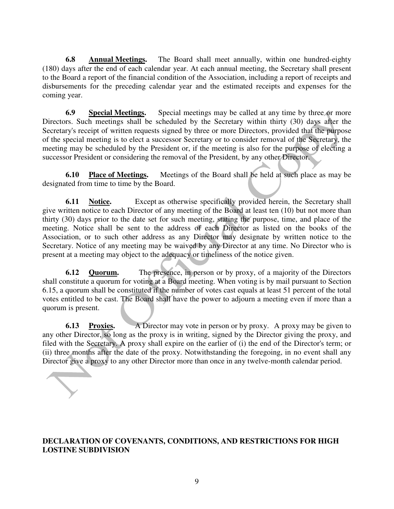**6.8 Annual Meetings.** The Board shall meet annually, within one hundred-eighty (180) days after the end of each calendar year. At each annual meeting, the Secretary shall present to the Board a report of the financial condition of the Association, including a report of receipts and disbursements for the preceding calendar year and the estimated receipts and expenses for the coming year.

**6.9 Special Meetings.** Special meetings may be called at any time by three or more Directors. Such meetings shall be scheduled by the Secretary within thirty (30) days after the Secretary's receipt of written requests signed by three or more Directors, provided that the purpose of the special meeting is to elect a successor Secretary or to consider removal of the Secretary, the meeting may be scheduled by the President or, if the meeting is also for the purpose of electing a successor President or considering the removal of the President, by any other Director.

**6.10 Place of Meetings.** Meetings of the Board shall be held at such place as may be designated from time to time by the Board.

**6.11 Notice.** Except as otherwise specifically provided herein, the Secretary shall give written notice to each Director of any meeting of the Board at least ten (10) but not more than thirty (30) days prior to the date set for such meeting, stating the purpose, time, and place of the meeting. Notice shall be sent to the address of each Director as listed on the books of the Association, or to such other address as any Director may designate by written notice to the Secretary. Notice of any meeting may be waived by any Director at any time. No Director who is present at a meeting may object to the adequacy or timeliness of the notice given.

**6.12 Quorum.** The presence, in person or by proxy, of a majority of the Directors shall constitute a quorum for voting at a Board meeting. When voting is by mail pursuant to Section 6.15, a quorum shall be constituted if the number of votes cast equals at least 51 percent of the total votes entitled to be cast. The Board shall have the power to adjourn a meeting even if more than a quorum is present.

**6.13 Proxies.** A Director may vote in person or by proxy. A proxy may be given to any other Director, so long as the proxy is in writing, signed by the Director giving the proxy, and filed with the Secretary. A proxy shall expire on the earlier of (i) the end of the Director's term; or (ii) three months after the date of the proxy. Notwithstanding the foregoing, in no event shall any Director give a proxy to any other Director more than once in any twelve-month calendar period.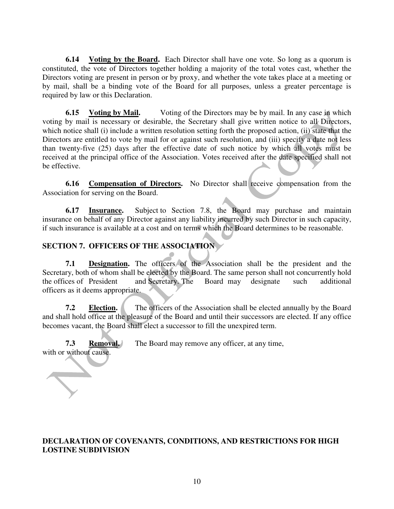**6.14** Voting by the Board. Each Director shall have one vote. So long as a quorum is constituted, the vote of Directors together holding a majority of the total votes cast, whether the Directors voting are present in person or by proxy, and whether the vote takes place at a meeting or by mail, shall be a binding vote of the Board for all purposes, unless a greater percentage is required by law or this Declaration.

**6.15 Voting by Mail.** Voting of the Directors may be by mail. In any case in which voting by mail is necessary or desirable, the Secretary shall give written notice to all Directors, which notice shall (i) include a written resolution setting forth the proposed action, (ii) state that the Directors are entitled to vote by mail for or against such resolution, and (iii) specify a date not less than twenty-five (25) days after the effective date of such notice by which all votes must be received at the principal office of the Association. Votes received after the date specified shall not be effective.

**6.16 Compensation of Directors.** No Director shall receive compensation from the Association for serving on the Board.

**6.17 Insurance.** Subject to Section 7.8, the Board may purchase and maintain insurance on behalf of any Director against any liability incurred by such Director in such capacity, if such insurance is available at a cost and on terms which the Board determines to be reasonable.

# **SECTION 7. OFFICERS OF THE ASSOCIATION**

**7.1 Designation.** The officers of the Association shall be the president and the Secretary, both of whom shall be elected by the Board. The same person shall not concurrently hold the offices of President and Secretary. The Board may designate such additional officers as it deems appropriate.

**7.2 Election.** The officers of the Association shall be elected annually by the Board and shall hold office at the pleasure of the Board and until their successors are elected. If any office becomes vacant, the Board shall elect a successor to fill the unexpired term.

**7.3 Removal.** The Board may remove any officer, at any time, with or without cause.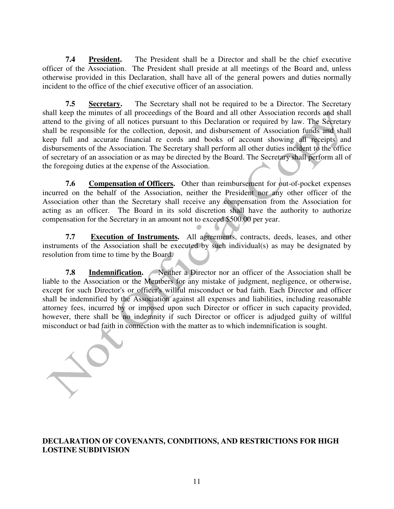**7.4 President.** The President shall be a Director and shall be the chief executive officer of the Association. The President shall preside at all meetings of the Board and, unless otherwise provided in this Declaration, shall have all of the general powers and duties normally incident to the office of the chief executive officer of an association.

**7.5 Secretary.** The Secretary shall not be required to be a Director. The Secretary shall keep the minutes of all proceedings of the Board and all other Association records and shall attend to the giving of all notices pursuant to this Declaration or required by law. The Secretary shall be responsible for the collection, deposit, and disbursement of Association funds and shall keep full and accurate financial re cords and books of account showing all receipts and disbursements of the Association. The Secretary shall perform all other duties incident to the office of secretary of an association or as may be directed by the Board. The Secretary shall perform all of the foregoing duties at the expense of the Association.

**7.6 Compensation of Officers.** Other than reimbursement for out-of-pocket expenses incurred on the behalf of the Association, neither the President nor any other officer of the Association other than the Secretary shall receive any compensation from the Association for acting as an officer. The Board in its sold discretion shall have the authority to authorize compensation for the Secretary in an amount not to exceed \$500.00 per year.

**7.7 Execution of Instruments.** All agreements, contracts, deeds, leases, and other instruments of the Association shall be executed by such individual(s) as may be designated by resolution from time to time by the Board.

**7.8 Indemnification.** Neither a Director nor an officer of the Association shall be liable to the Association or the Members for any mistake of judgment, negligence, or otherwise, except for such Director's or officer's willful misconduct or bad faith. Each Director and officer shall be indemnified by the Association against all expenses and liabilities, including reasonable attorney fees, incurred by or imposed upon such Director or officer in such capacity provided, however, there shall be no indemnity if such Director or officer is adjudged guilty of willful misconduct or bad faith in connection with the matter as to which indemnification is sought.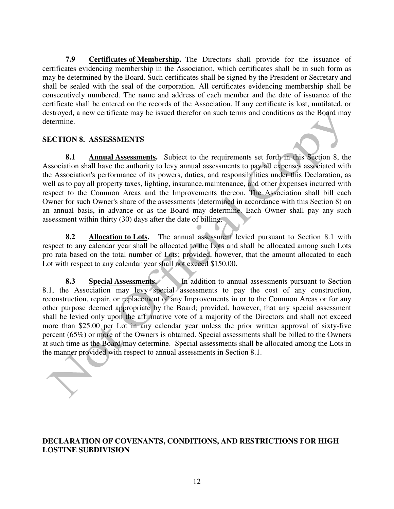**7.9 Certificates of Membership.** The Directors shall provide for the issuance of certificates evidencing membership in the Association, which certificates shall be in such form as may be determined by the Board. Such certificates shall be signed by the President or Secretary and shall be sealed with the seal of the corporation. All certificates evidencing membership shall be consecutively numbered. The name and address of each member and the date of issuance of the certificate shall be entered on the records of the Association. If any certificate is lost, mutilated, or destroyed, a new certificate may be issued therefor on such terms and conditions as the Board may determine.

#### **SECTION 8. ASSESSMENTS**

**8.1 Annual Assessments.** Subject to the requirements set forth in this Section 8, the Association shall have the authority to levy annual assessments to pay all expenses associated with the Association's performance of its powers, duties, and responsibilities under this Declaration, as well as to pay all property taxes, lighting, insurance, maintenance, and other expenses incurred with respect to the Common Areas and the Improvements thereon. The Association shall bill each Owner for such Owner's share of the assessments (determined in accordance with this Section 8) on an annual basis, in advance or as the Board may determine. Each Owner shall pay any such assessment within thirty (30) days after the date of billing.

**8.2 Allocation to Lots.** The annual assessment levied pursuant to Section 8.1 with respect to any calendar year shall be allocated to the Lots and shall be allocated among such Lots pro rata based on the total number of Lots; provided, however, that the amount allocated to each Lot with respect to any calendar year shall not exceed \$150.00.

**8.3 Special Assessments.** In addition to annual assessments pursuant to Section 8.1, the Association may levy special assessments to pay the cost of any construction, reconstruction, repair, or replacement of any Improvements in or to the Common Areas or for any other purpose deemed appropriate by the Board; provided, however, that any special assessment shall be levied only upon the affirmative vote of a majority of the Directors and shall not exceed more than \$25.00 per Lot in any calendar year unless the prior written approval of sixty-five percent (65%) or more of the Owners is obtained. Special assessments shall be billed to the Owners at such time as the Board may determine. Special assessments shall be allocated among the Lots in the manner provided with respect to annual assessments in Section 8.1.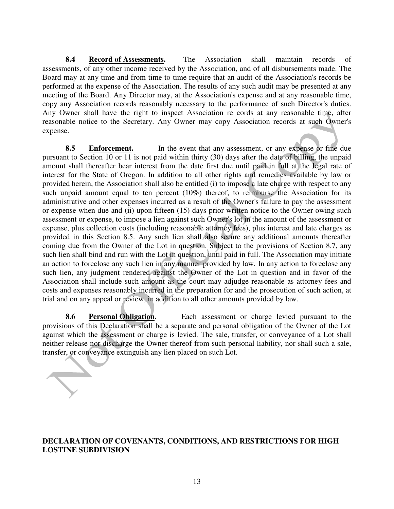**8.4 Record of Assessments.** The Association shall maintain records of assessments, of any other income received by the Association, and of all disbursements made. The Board may at any time and from time to time require that an audit of the Association's records be performed at the expense of the Association. The results of any such audit may be presented at any meeting of the Board. Any Director may, at the Association's expense and at any reasonable time, copy any Association records reasonably necessary to the performance of such Director's duties. Any Owner shall have the right to inspect Association re cords at any reasonable time, after reasonable notice to the Secretary. Any Owner may copy Association records at such Owner's expense.

8.5 **Enforcement.** In the event that any assessment, or any expense or fine due pursuant to Section 10 or 11 is not paid within thirty (30) days after the date of billing, the unpaid amount shall thereafter bear interest from the date first due until paid in full at the legal rate of interest for the State of Oregon. In addition to all other rights and remedies available by law or provided herein, the Association shall also be entitled (i) to impose a late charge with respect to any such unpaid amount equal to ten percent  $(10\%)$  thereof, to reimburse the Association for its administrative and other expenses incurred as a result of the Owner's failure to pay the assessment or expense when due and (ii) upon fifteen (15) days prior written notice to the Owner owing such assessment or expense, to impose a lien against such Owner's lot in the amount of the assessment or expense, plus collection costs (including reasonable attorney fees), plus interest and late charges as provided in this Section 8.5. Any such lien shall also secure any additional amounts thereafter coming due from the Owner of the Lot in question. Subject to the provisions of Section 8.7, any such lien shall bind and run with the Lot in question, until paid in full. The Association may initiate an action to foreclose any such lien in any manner provided by law. In any action to foreclose any such lien, any judgment rendered against the Owner of the Lot in question and in favor of the Association shall include such amount as the court may adjudge reasonable as attorney fees and costs and expenses reasonably incurred in the preparation for and the prosecution of such action, at trial and on any appeal or review, in addition to all other amounts provided by law.

**8.6 Personal Obligation.** Each assessment or charge levied pursuant to the provisions of this Declaration shall be a separate and personal obligation of the Owner of the Lot against which the assessment or charge is levied. The sale, transfer, or conveyance of a Lot shall neither release nor discharge the Owner thereof from such personal liability, nor shall such a sale, transfer, or conveyance extinguish any lien placed on such Lot.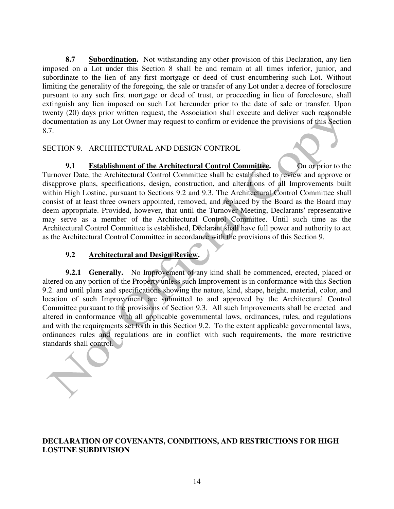**8.7** Subordination. Not withstanding any other provision of this Declaration, any lien imposed on a Lot under this Section 8 shall be and remain at all times inferior, junior, and subordinate to the lien of any first mortgage or deed of trust encumbering such Lot. Without limiting the generality of the foregoing, the sale or transfer of any Lot under a decree of foreclosure pursuant to any such first mortgage or deed of trust, or proceeding in lieu of foreclosure, shall extinguish any lien imposed on such Lot hereunder prior to the date of sale or transfer. Upon twenty (20) days prior written request, the Association shall execute and deliver such reasonable documentation as any Lot Owner may request to confirm or evidence the provisions of this Section 8.7.

SECTION 9. ARCHITECTURAL AND DESIGN CONTROL

**9.1** Establishment of the Architectural Control Committee. On or prior to the Turnover Date, the Architectural Control Committee shall be established to review and approve or disapprove plans, specifications, design, construction, and alterations of all Improvements built within High Lostine, pursuant to Sections 9.2 and 9.3. The Architectural Control Committee shall consist of at least three owners appointed, removed, and replaced by the Board as the Board may deem appropriate. Provided, however, that until the Turnover Meeting, Declarants' representative may serve as a member of the Architectural Control Committee. Until such time as the Architectural Control Committee is established, Declarant shall have full power and authority to act as the Architectural Control Committee in accordance with the provisions of this Section 9.

#### **9.2 Architectural and Design Review.**

**9.2.1 Generally.** No Improvement of any kind shall be commenced, erected, placed or altered on any portion of the Property unless such Improvement is in conformance with this Section 9.2. and until plans and specifications showing the nature, kind, shape, height, material, color, and location of such Improvement are submitted to and approved by the Architectural Control Committee pursuant to the provisions of Section 9.3. All such Improvements shall be erected and altered in conformance with all applicable governmental laws, ordinances, rules, and regulations and with the requirements set forth in this Section 9.2. To the extent applicable governmental laws, ordinances rules and regulations are in conflict with such requirements, the more restrictive standards shall control.

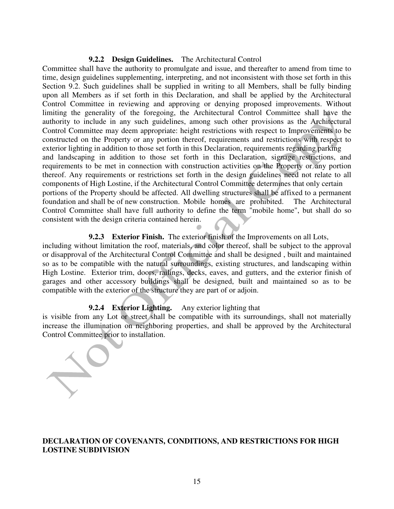#### **9.2.2 Design Guidelines.** The Architectural Control

Committee shall have the authority to promulgate and issue, and thereafter to amend from time to time, design guidelines supplementing, interpreting, and not inconsistent with those set forth in this Section 9.2. Such guidelines shall be supplied in writing to all Members, shall be fully binding upon all Members as if set forth in this Declaration, and shall be applied by the Architectural Control Committee in reviewing and approving or denying proposed improvements. Without limiting the generality of the foregoing, the Architectural Control Committee shall have the authority to include in any such guidelines, among such other provisions as the Architectural Control Committee may deem appropriate: height restrictions with respect to Improvements to be constructed on the Property or any portion thereof, requirements and restrictions with respect to exterior lighting in addition to those set forth in this Declaration, requirements regarding parking and landscaping in addition to those set forth in this Declaration, signage restrictions, and requirements to be met in connection with construction activities on the Property or any portion thereof. Any requirements or restrictions set forth in the design guidelines need not relate to all components of High Lostine, if the Architectural Control Committee determines that only certain portions of the Property should be affected. All dwelling structures shall be affixed to a permanent foundation and shall be of new construction. Mobile homes are prohibited. The Architectural Control Committee shall have full authority to define the term "mobile home", but shall do so consistent with the design criteria contained herein.

#### **9.2.3 Exterior Finish.** The exterior finish of the Improvements on all Lots,

including without limitation the roof, materials, and color thereof, shall be subject to the approval or disapproval of the Architectural Control Committee and shall be designed , built and maintained so as to be compatible with the natural surroundings, existing structures, and landscaping within High Lostine. Exterior trim, doors, railings, decks, eaves, and gutters, and the exterior finish of garages and other accessory buildings shall be designed, built and maintained so as to be compatible with the exterior of the structure they are part of or adjoin.

#### **9.2.4 Exterior Lighting.** Any exterior lighting that

is visible from any Lot or street shall be compatible with its surroundings, shall not materially increase the illumination on neighboring properties, and shall be approved by the Architectural Control Committee prior to installation.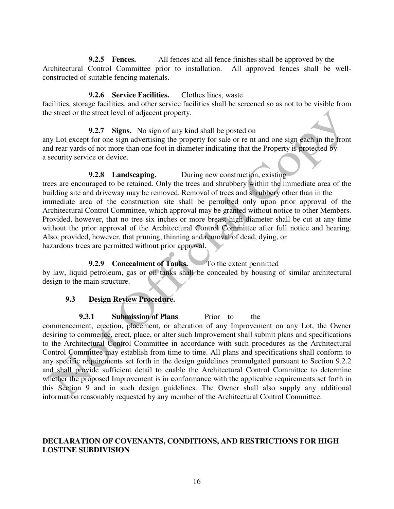**9.2.5 Fences.** All fences and all fence finishes shall be approved by the Architectural Control Committee prior to installation. All approved fences shall be wellconstructed of suitable fencing materials.

#### **9.2.6 Service Facilities.** Clothes lines, waste

facilities, storage facilities, and other service facilities shall be screened so as not to be visible from the street or the street level of adjacent property.

#### **9.2.7 Signs.** No sign of any kind shall be posted on

any Lot except for one sign advertising the property for sale or re nt and one sign each in the front and rear yards of not more than one foot in diameter indicating that the Property is protected by a security service or device.

#### **9.2.8 Landscaping.** During new construction, existing

trees are encouraged to be retained. Only the trees and shrubbery within the immediate area of the building site and driveway may be removed. Removal of trees and shrubbery other than in the immediate area of the construction site shall be permitted only upon prior approval of the Architectural Control Committee, which approval may be granted without notice to other Members. Provided, however, that no tree six inches or more breast high diameter shall be cut at any time without the prior approval of the Architectural Control Committee after full notice and hearing. Also, provided, however, that pruning, thinning and removal of dead, dying, or hazardous trees are permitted without prior approval.

# **9.2.9 Concealment of Tanks.** To the extent permitted

by law, liquid petroleum, gas or oil tanks shall be concealed by housing of similar architectural design to the main structure.

#### **9.3 Design Review Procedure.**

**9.3.1 Submission of Plans.** Prior to the

commencement, erection, placement, or alteration of any Improvement on any Lot, the Owner desiring to commence, erect, place, or alter such Improvement shall submit plans and specifications to the Architectural Control Committee in accordance with such procedures as the Architectural Control Committee may establish from time to time. All plans and specifications shall conform to any specific requirements set forth in the design guidelines promulgated pursuant to Section 9.2.2 and shall provide sufficient detail to enable the Architectural Control Committee to determine whether the proposed Improvement is in conformance with the applicable requirements set forth in this Section 9 and in such design guidelines. The Owner shall also supply any additional information reasonably requested by any member of the Architectural Control Committee.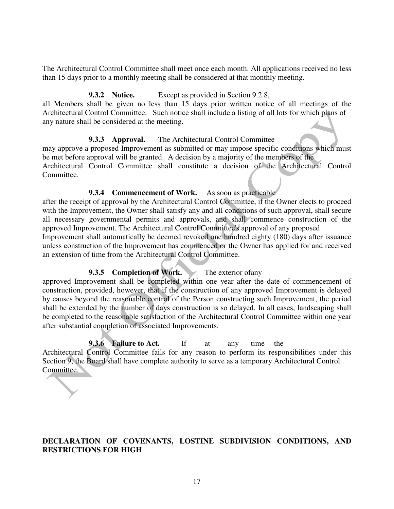The Architectural Control Committee shall meet once each month. All applications received no less than 15 days prior to a monthly meeting shall be considered at that monthly meeting.

#### **9.3.2 Notice.** Except as provided in Section 9.2.8,

all Members shall be given no less than 15 days prior written notice of all meetings of the Architectural Control Committee. Such notice shall include a listing of all lots for which plans of any nature shall be considered at the meeting.

# **9.3.3 Approval.** The Architectural Control Committee

may approve a proposed Improvement as submitted or may impose specific conditions which must be met before approval will be granted. A decision by a majority of the members of the Architectural Control Committee shall constitute a decision of the Architectural Control Committee.

# **9.3.4 Commencement of Work.** As soon as practicable

after the receipt of approval by the Architectural Control Committee, if the Owner elects to proceed with the Improvement, the Owner shall satisfy any and all conditions of such approval, shall secure all necessary governmental permits and approvals, and shall commence construction of the approved Improvement. The Architectural Control Committee's approval of any proposed Improvement shall automatically be deemed revoked one hundred eighty (180) days after issuance unless construction of the Improvement has commenced or the Owner has applied for and received an extension of time from the Architectural Control Committee.

# **9.3.5 Completion of Work.** The exterior of any

approved Improvement shall be completed within one year after the date of commencement of construction, provided, however, that if the construction of any approved Improvement is delayed by causes beyond the reasonable control of the Person constructing such Improvement, the period shall be extended by the number of days construction is so delayed. In all cases, landscaping shall be completed to the reasonable satisfaction of the Architectural Control Committee within one year after substantial completion of associated Improvements.

**9.3.6 Failure to Act.** If at any time the Architectural Control Committee fails for any reason to perform its responsibilities under this Section 9, the Board shall have complete authority to serve as a temporary Architectural Control Committee.

# **DECLARATION OF COVENANTS, LOSTINE SUBDIVISION CONDITIONS, AND RESTRICTIONS FOR HIGH**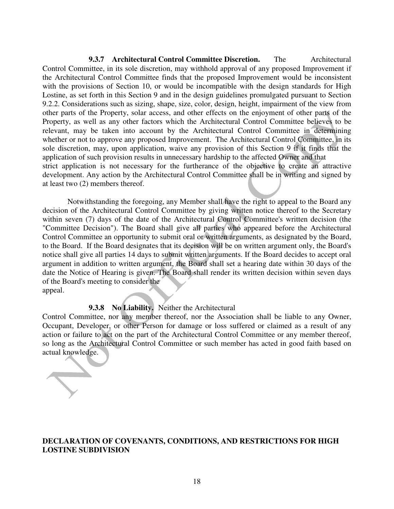**9.3.7 Architectural Control Committee Discretion.** The Architectural Control Committee, in its sole discretion, may withhold approval of any proposed Improvement if the Architectural Control Committee finds that the proposed Improvement would be inconsistent with the provisions of Section 10, or would be incompatible with the design standards for High Lostine, as set forth in this Section 9 and in the design guidelines promulgated pursuant to Section 9.2.2. Considerations such as sizing, shape, size, color, design, height, impairment of the view from other parts of the Property, solar access, and other effects on the enjoyment of other parts of the Property, as well as any other factors which the Architectural Control Committee believes to be relevant, may be taken into account by the Architectural Control Committee in determining whether or not to approve any proposed Improvement. The Architectural Control Committee, in its sole discretion, may, upon application, waive any provision of this Section 9 if it finds that the application of such provision results in unnecessary hardship to the affected Owner and that strict application is not necessary for the furtherance of the objective to create an attractive development. Any action by the Architectural Control Committee shall be in writing and signed by at least two (2) members thereof.

 Notwithstanding the foregoing, any Member shall have the right to appeal to the Board any decision of the Architectural Control Committee by giving written notice thereof to the Secretary within seven (7) days of the date of the Architectural Control Committee's written decision (the "Committee Decision"). The Board shall give all parties who appeared before the Architectural Control Committee an opportunity to submit oral or written arguments, as designated by the Board, to the Board. If the Board designates that its decision will be on written argument only, the Board's notice shall give all parties 14 days to submit written arguments. If the Board decides to accept oral argument in addition to written argument, the Board shall set a hearing date within 30 days of the date the Notice of Hearing is given. The Board shall render its written decision within seven days of the Board's meeting to consider the appeal.

#### **9.3.8 No Liability.** Neither the Architectural

Control Committee, nor any member thereof, nor the Association shall be liable to any Owner, Occupant, Developer, or other Person for damage or loss suffered or claimed as a result of any action or failure to act on the part of the Architectural Control Committee or any member thereof, so long as the Architectural Control Committee or such member has acted in good faith based on actual knowledge.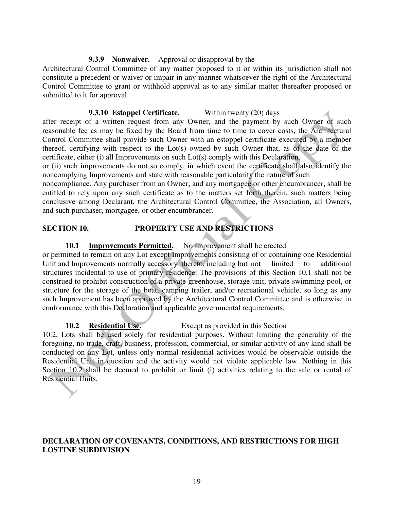#### **9.3.9 Nonwaiver.** Approval or disapproval by the

Architectural Control Committee of any matter proposed to it or within its jurisdiction shall not constitute a precedent or waiver or impair in any manner whatsoever the right of the Architectural Control Committee to grant or withhold approval as to any similar matter thereafter proposed or submitted to it for approval.

#### **9.3.10 Estoppel Certificate.** Within twenty (20) days

after receipt of a written request from any Owner, and the payment by such Owner of such reasonable fee as may be fixed by the Board from time to time to cover costs, the Architectural Control Committee shall provide such Owner with an estoppel certificate executed by a member thereof, certifying with respect to the Lot(s) owned by such Owner that, as of the date of the certificate, either (i) all Improvements on such Lot(s) comply with this Declaration,

or (ii) such improvements do not so comply, in which event the certificate shall also identify the noncomplying Improvements and state with reasonable particularity the nature of such

noncompliance. Any purchaser from an Owner, and any mortgagee or other encumbrancer, shall be entitled to rely upon any such certificate as to the matters set forth therein, such matters being conclusive among Declarant, the Architectural Control Committee, the Association, all Owners, and such purchaser, mortgagee, or other encumbrancer.

# **SECTION 10. PROPERTY USE AND RESTRICTIONS**

#### **10.1 Improvements Permitted.** No Improvement shall be erected

or permitted to remain on any Lot except Improvements consisting of or containing one Residential Unit and Improvements normally accessory thereto, including but not limited to additional structures incidental to use of primary residence. The provisions of this Section 10.1 shall not be construed to prohibit construction of a private greenhouse, storage unit, private swimming pool, or structure for the storage of the boat, camping trailer, and/or recreational vehicle, so long as any such Improvement has been approved by the Architectural Control Committee and is otherwise in conformance with this Declaration and applicable governmental requirements.

#### **10.2 Residential Use.** Except as provided in this Section

10.2, Lots shall be used solely for residential purposes. Without limiting the generality of the foregoing, no trade, craft, business, profession, commercial, or similar activity of any kind shall be conducted on any Lot, unless only normal residential activities would be observable outside the Residential Unit in question and the activity would not violate applicable law. Nothing in this Section 10.2 shall be deemed to prohibit or limit (i) activities relating to the sale or rental of Residential Units,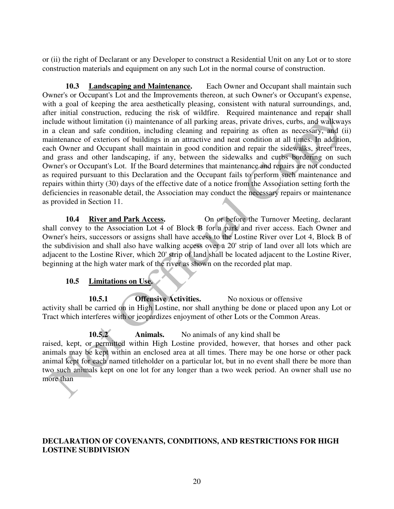or (ii) the right of Declarant or any Developer to construct a Residential Unit on any Lot or to store construction materials and equipment on any such Lot in the normal course of construction.

**10.3 Landscaping and Maintenance.** Each Owner and Occupant shall maintain such Owner's or Occupant's Lot and the Improvements thereon, at such Owner's or Occupant's expense, with a goal of keeping the area aesthetically pleasing, consistent with natural surroundings, and, after initial construction, reducing the risk of wildfire. Required maintenance and repair shall include without limitation (i) maintenance of all parking areas, private drives, curbs, and walkways in a clean and safe condition, including cleaning and repairing as often as necessary, and (ii) maintenance of exteriors of buildings in an attractive and neat condition at all times. In addition, each Owner and Occupant shall maintain in good condition and repair the sidewalks, street trees, and grass and other landscaping, if any, between the sidewalks and curbs bordering on such Owner's or Occupant's Lot. If the Board determines that maintenance and repairs are not conducted as required pursuant to this Declaration and the Occupant fails to perform such maintenance and repairs within thirty (30) days of the effective date of a notice from the Association setting forth the deficiencies in reasonable detail, the Association may conduct the necessary repairs or maintenance as provided in Section 11.

10.4 **River and Park Access.** On or before the Turnover Meeting, declarant shall convey to the Association Lot 4 of Block B for a park and river access. Each Owner and Owner's heirs, successors or assigns shall have access to the Lostine River over Lot 4, Block B of the subdivision and shall also have walking access over a 20' strip of land over all lots which are adjacent to the Lostine River, which 20' strip of land shall be located adjacent to the Lostine River, beginning at the high water mark of the river as shown on the recorded plat map.

#### **10.5 Limitations on Use.**

**10.5.1** Offensive Activities. No noxious or offensive activity shall be carried on in High Lostine, nor shall anything be done or placed upon any Lot or Tract which interferes with or jeopardizes enjoyment of other Lots or the Common Areas.

**10.5.2 Animals.** No animals of any kind shall be raised, kept, or permitted within High Lostine provided, however, that horses and other pack animals may be kept within an enclosed area at all times. There may be one horse or other pack animal kept for each named titleholder on a particular lot, but in no event shall there be more than two such animals kept on one lot for any longer than a two week period. An owner shall use no more than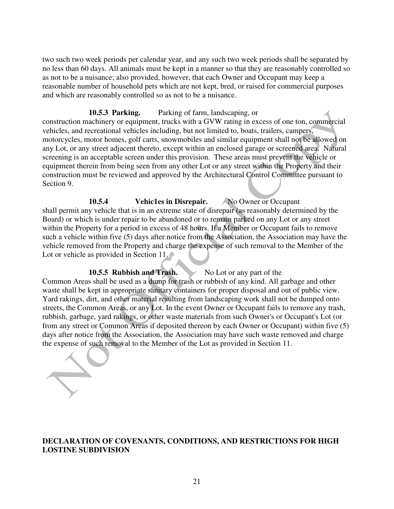two such two week periods per calendar year, and any such two week periods shall be separated by no less than 60 days. All animals must be kept in a manner so that they are reasonably controlled so as not to be a nuisance; also provided, however, that each Owner and Occupant may keep a reasonable number of household pets which are not kept, bred, or raised for commercial purposes and which are reasonably controlled so as not to be a nuisance.

#### **10.5.3 Parking.** Parking of farm, landscaping, or

construction machinery or equipment, trucks with a GVW rating in excess of one ton, commercial vehicles, and recreational vehicles including, but not limited to, boats, trailers, campers, motorcycles, motor homes, golf carts, snowmobiles and similar equipment shall not be allowed on any Lot, or any street adjacent thereto, except within an enclosed garage or screened area. Natural screening is an acceptable screen under this provision. These areas must prevent the vehicle or equipment therein from being seen from any other Lot or any street within the Property and their construction must be reviewed and approved by the Architectural Control Committee pursuant to Section 9.

10.5.4 **Vehic1es in Disrepair.** No Owner or Occupant shall permit any vehicle that is in an extreme state of disrepair (as reasonably determined by the Board) or which is under repair to be abandoned or to remain parked on any Lot or any street within the Property for a period in excess of 48 hours. If a Member or Occupant fails to remove such a vehicle within five (5) days after notice from the Association, the Association may have the vehicle removed from the Property and charge the expense of such removal to the Member of the Lot or vehicle as provided in Section 11.

**10.5.5 Rubbish and Trash.** No Lot or any part of the Common Areas shall be used as a dump for trash or rubbish of any kind. All garbage and other waste shall be kept in appropriate sanitary containers for proper disposal and out of public view. Yard rakings, dirt, and other material resulting from landscaping work shall not be dumped onto streets, the Common Areas, or any Lot. In the event Owner or Occupant fails to remove any trash, rubbish, garbage, yard rakings, or other waste materials from such Owner's or Occupant's Lot (or from any street or Common Areas if deposited thereon by each Owner or Occupant) within five (5) days after notice from the Association, the Association may have such waste removed and charge the expense of such removal to the Member of the Lot as provided in Section 11.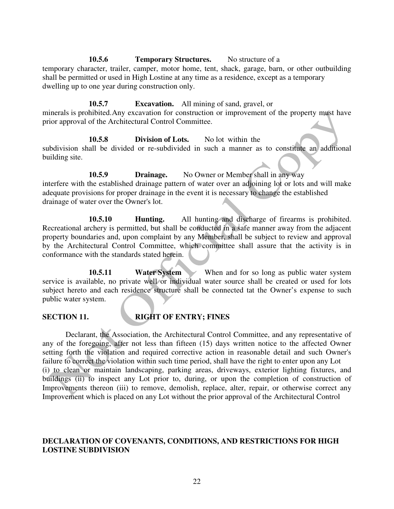**10.5.6 Temporary Structures.** No structure of a temporary character, trailer, camper, motor home, tent, shack, garage, barn, or other outbuilding shall be permitted or used in High Lostine at any time as a residence, except as a temporary dwelling up to one year during construction only.

**10.5.7 Excavation.** All mining of sand, gravel, or minerals is prohibited. Any excavation for construction or improvement of the property must have prior approval of the Architectural Control Committee.

 **10.5.8 Division of Lots.** No lot within the subdivision shall be divided or re-subdivided in such a manner as to constitute an additional building site.

**10.5.9 Drainage.** No Owner or Member shall in any way interfere with the established drainage pattern of water over an adjoining lot or lots and will make adequate provisions for proper drainage in the event it is necessary to change the established drainage of water over the Owner's lot.

 **10.5.10 Hunting.** All hunting and discharge of firearms is prohibited. Recreational archery is permitted, but shall be conducted in a safe manner away from the adjacent property boundaries and, upon complaint by any Member, shall be subject to review and approval by the Architectural Control Committee, which committee shall assure that the activity is in conformance with the standards stated herein.

**10.5.11 Water System** When and for so long as public water system service is available, no private well or individual water source shall be created or used for lots subject hereto and each residence structure shall be connected tat the Owner's expense to such public water system.

# **SECTION 11. RIGHT OF ENTRY; FINES**

Declarant, the Association, the Architectural Control Committee, and any representative of any of the foregoing, after not less than fifteen (15) days written notice to the affected Owner setting forth the violation and required corrective action in reasonable detail and such Owner's failure to correct the violation within such time period, shall have the right to enter upon any Lot (i) to clean or maintain landscaping, parking areas, driveways, exterior lighting fixtures, and buildings (ii) to inspect any Lot prior to, during, or upon the completion of construction of Improvements thereon (iii) to remove, demolish, replace, alter, repair, or otherwise correct any Improvement which is placed on any Lot without the prior approval of the Architectural Control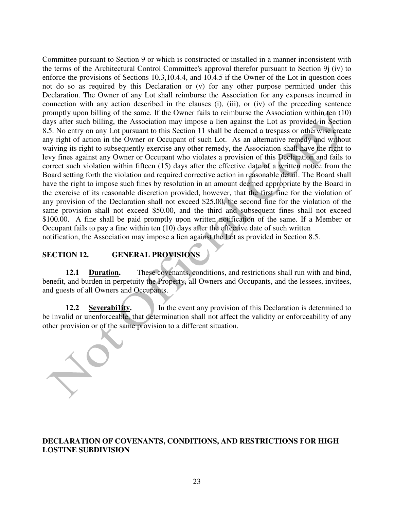Committee pursuant to Section 9 or which is constructed or installed in a manner inconsistent with the terms of the Architectural Control Committee's approval therefor pursuant to Section 9j (iv) to enforce the provisions of Sections 10.3,10.4.4, and 10.4.5 if the Owner of the Lot in question does not do so as required by this Declaration or (v) for any other purpose permitted under this Declaration. The Owner of any Lot shall reimburse the Association for any expenses incurred in connection with any action described in the clauses (i), (iii), or (iv) of the preceding sentence promptly upon billing of the same. If the Owner fails to reimburse the Association within ten (10) days after such billing, the Association may impose a lien against the Lot as provided in Section 8.5. No entry on any Lot pursuant to this Section 11 shall be deemed a trespass or otherwise create any right of action in the Owner or Occupant of such Lot. As an alternative remedy and without waiving its right to subsequently exercise any other remedy, the Association shall have the right to levy fines against any Owner or Occupant who violates a provision of this Declaration and fails to correct such violation within fifteen (15) days after the effective date of a written notice from the Board setting forth the violation and required corrective action in reasonable detail. The Board shall have the right to impose such fines by resolution in an amount deemed appropriate by the Board in the exercise of its reasonable discretion provided, however, that the first fine for the violation of any provision of the Declaration shall not exceed \$25.00, the second fine for the violation of the same provision shall not exceed \$50.00, and the third and subsequent fines shall not exceed \$100.00. A fine shall be paid promptly upon written notification of the same. If a Member or Occupant fails to pay a fine within ten (10) days after the effective date of such written notification, the Association may impose a lien against the Lot as provided in Section 8.5.

### **SECTION 12. GENERAL PROVISIONS**

12.1 **Duration.** These covenants, conditions, and restrictions shall run with and bind, benefit, and burden in perpetuity the Property, all Owners and Occupants, and the lessees, invitees, and guests of all Owners and Occupants.

**12.2 Severability.** In the event any provision of this Declaration is determined to be invalid or unenforceable, that determination shall not affect the validity or enforceability of any other provision or of the same provision to a different situation.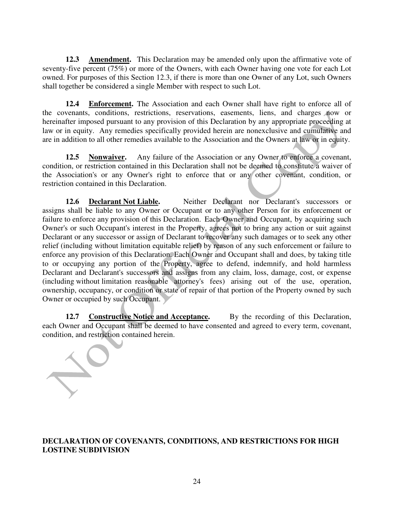**12.3 Amendment.** This Declaration may be amended only upon the affirmative vote of seventy-five percent (75%) or more of the Owners, with each Owner having one vote for each Lot owned. For purposes of this Section 12.3, if there is more than one Owner of any Lot, such Owners shall together be considered a single Member with respect to such Lot.

**12.4 Enforcement.** The Association and each Owner shall have right to enforce all of the covenants, conditions, restrictions, reservations, easements, liens, and charges now or hereinafter imposed pursuant to any provision of this Declaration by any appropriate proceeding at law or in equity. Any remedies specifically provided herein are nonexclusive and cumulative and are in addition to all other remedies available to the Association and the Owners at law or in equity.

**12.5 Nonwaiver.** Any failure of the Association or any Owner to enforce a covenant, condition, or restriction contained in this Declaration shall not be deemed to constitute a waiver of the Association's or any Owner's right to enforce that or any other covenant, condition, or restriction contained in this Declaration.

**12.6 Declarant Not Liable.** Neither Declarant nor Declarant's successors or assigns shall be liable to any Owner or Occupant or to any other Person for its enforcement or failure to enforce any provision of this Declaration. Each Owner and Occupant, by acquiring such Owner's or such Occupant's interest in the Property, agrees not to bring any action or suit against Declarant or any successor or assign of Declarant to recover any such damages or to seek any other relief (including without limitation equitable relief) by reason of any such enforcement or failure to enforce any provision of this Declaration. Each Owner and Occupant shall and does, by taking title to or occupying any portion of the Property, agree to defend, indemnify, and hold harmless Declarant and Declarant's successors and assigns from any claim, loss, damage, cost, or expense (including without limitation reasonable attorney's fees) arising out of the use, operation, ownership, occupancy, or condition or state of repair of that portion of the Property owned by such Owner or occupied by such Occupant.

**12.7 Constructive Notice and Acceptance.** By the recording of this Declaration, each Owner and Occupant shall be deemed to have consented and agreed to every term, covenant, condition, and restriction contained herein.